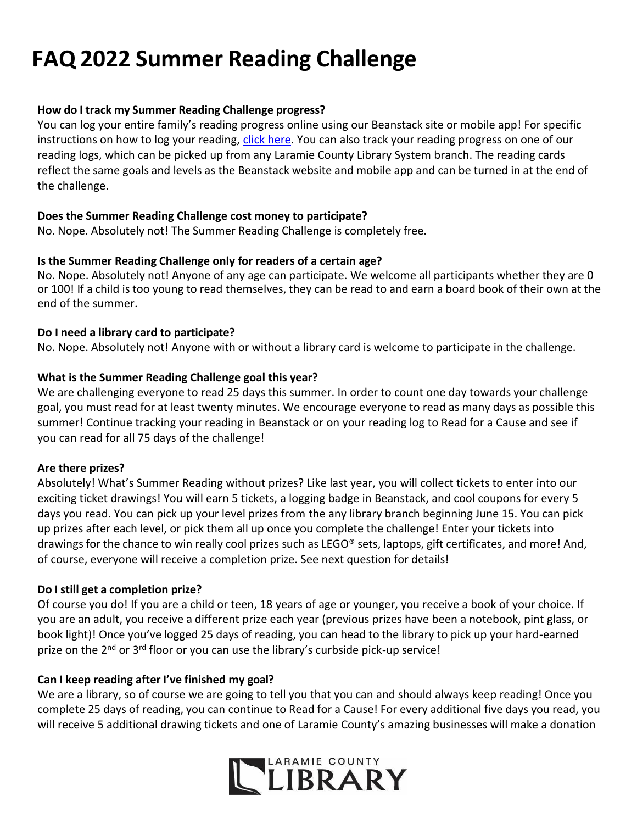# **FAQ 2022 Summer Reading Challenge**

## **How do I track my Summer Reading Challenge progress?**

You can log your entire family's reading progress online using our Beanstack site or mobile app! For specific instructions on how to log your reading, [click here. Y](https://lclsonline.org/wp-content/uploads/2021/05/Logging-Instructions.pdf)ou can also track your reading progress on one of our reading logs, which can be picked up from any Laramie County Library System branch. The reading cards reflect the same goals and levels as the Beanstack website and mobile app and can be turned in at the end of the challenge.

## **Does the Summer Reading Challenge cost money to participate?**

No. Nope. Absolutely not! The Summer Reading Challenge is completely free.

## **Is the Summer Reading Challenge only for readers of a certain age?**

No. Nope. Absolutely not! Anyone of any age can participate. We welcome all participants whether they are 0 or 100! If a child is too young to read themselves, they can be read to and earn a board book of their own at the end of the summer.

## **Do I need a library card to participate?**

No. Nope. Absolutely not! Anyone with or without a library card is welcome to participate in the challenge.

## **What is the Summer Reading Challenge goal this year?**

We are challenging everyone to read 25 days this summer. In order to count one day towards your challenge goal, you must read for at least twenty minutes. We encourage everyone to read as many days as possible this summer! Continue tracking your reading in Beanstack or on your reading log to Read for a Cause and see if you can read for all 75 days of the challenge!

## **Are there prizes?**

Absolutely! What's Summer Reading without prizes? Like last year, you will collect tickets to enter into our exciting ticket drawings! You will earn 5 tickets, a logging badge in Beanstack, and cool coupons for every 5 days you read. You can pick up your level prizes from the any library branch beginning June 15. You can pick up prizes after each level, or pick them all up once you complete the challenge! Enter your tickets into drawings for the chance to win really cool prizes such as LEGO® sets, laptops, gift certificates, and more! And, of course, everyone will receive a completion prize. See next question for details!

## **Do I still get a completion prize?**

Of course you do! If you are a child or teen, 18 years of age or younger, you receive a book of your choice. If you are an adult, you receive a different prize each year (previous prizes have been a notebook, pint glass, or book light)! Once you've logged 25 days of reading, you can head to the library to pick up your hard-earned prize on the 2<sup>nd</sup> or 3<sup>rd</sup> floor or you can use the library's curbside pick-up service!

## **Can I keep reading after I've finished my goal?**

We are a library, so of course we are going to tell you that you can and should always keep reading! Once you complete 25 days of reading, you can continue to Read for a Cause! For every additional five days you read, you will receive 5 additional drawing tickets and one of Laramie County's amazing businesses will make a donation